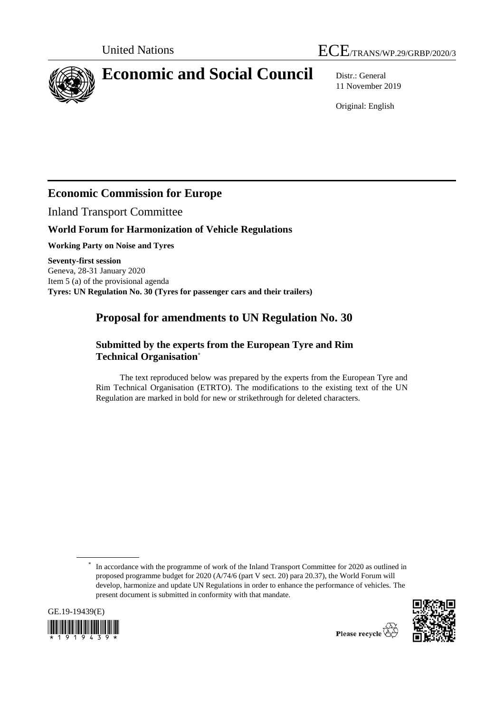



# **Economic and Social Council** Distr.: General

11 November 2019

Original: English

## **Economic Commission for Europe**

Inland Transport Committee

## **World Forum for Harmonization of Vehicle Regulations**

**Working Party on Noise and Tyres**

**Seventy-first session** Geneva, 28-31 January 2020 Item 5 (a) of the provisional agenda **Tyres: UN Regulation No. 30 (Tyres for passenger cars and their trailers)**

## **Proposal for amendments to UN Regulation No. 30**

### **Submitted by the experts from the European Tyre and Rim Technical Organisation\***

The text reproduced below was prepared by the experts from the European Tyre and Rim Technical Organisation (ETRTO). The modifications to the existing text of the UN Regulation are marked in bold for new or strikethrough for deleted characters.

<sup>\*</sup> In accordance with the programme of work of the Inland Transport Committee for 2020 as outlined in proposed programme budget for 2020 (A/74/6 (part V sect. 20) para 20.37), the World Forum will develop, harmonize and update UN Regulations in order to enhance the performance of vehicles. The present document is submitted in conformity with that mandate.



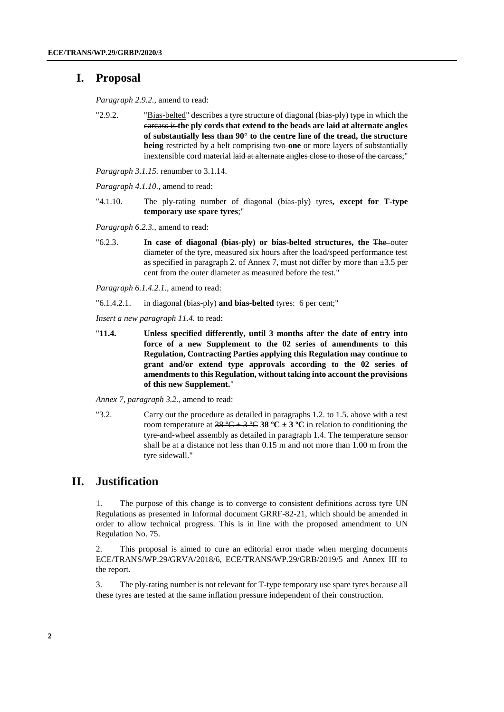### **I. Proposal**

*Paragraph 2.9.2.,* amend to read:

"2.9.2. "Bias-belted" describes a tyre structure of diagonal (bias-ply) type in which the carcass is **the ply cords that extend to the beads are laid at alternate angles of substantially less than 90° to the centre line of the tread, the structure being** restricted by a belt comprising two one or more layers of substantially inextensible cord material laid at alternate angles close to those of the carcass;"

*Paragraph 3.1.15.* renumber to 3.1.14.

*Paragraph 4.1.10.,* amend to read:

"4.1.10. The ply-rating number of diagonal (bias-ply) tyres**, except for T-type temporary use spare tyres**;"

*Paragraph 6.2.3.,* amend to read:

"6.2.3. **In case of diagonal (bias-ply) or bias-belted structures, the** The outer diameter of the tyre, measured six hours after the load/speed performance test as specified in paragraph 2. of Annex 7, must not differ by more than  $\pm 3.5$  per cent from the outer diameter as measured before the test."

*Paragraph 6.1.4.2.1.,* amend to read:

"6.1.4.2.1. in diagonal (bias-ply) **and bias-belted** tyres: 6 per cent;"

*Insert a new paragraph 11.4.* to read:

"**11.4. Unless specified differently, until 3 months after the date of entry into force of a new Supplement to the 02 series of amendments to this Regulation, Contracting Parties applying this Regulation may continue to grant and/or extend type approvals according to the 02 series of amendments to this Regulation, without taking into account the provisions of this new Supplement.**"

*Annex 7, paragraph 3.2.,* amend to read:

"3.2. Carry out the procedure as detailed in paragraphs 1.2. to 1.5. above with a test room temperature at  $38^{\circ}\text{C} + 3^{\circ}\text{C}$  **38**  $^{\circ}\text{C} \pm 3^{\circ}\text{C}$  in relation to conditioning the tyre-and-wheel assembly as detailed in paragraph 1.4. The temperature sensor shall be at a distance not less than 0.15 m and not more than 1.00 m from the tyre sidewall."

### **II. Justification**

1. The purpose of this change is to converge to consistent definitions across tyre UN Regulations as presented in Informal document GRRF-82-21, which should be amended in order to allow technical progress. This is in line with the proposed amendment to UN Regulation No. 75.

2. This proposal is aimed to cure an editorial error made when merging documents ECE/TRANS/WP.29/GRVA/2018/6, ECE/TRANS/WP.29/GRB/2019/5 and Annex III to the report.

3. The ply-rating number is not relevant for T-type temporary use spare tyres because all these tyres are tested at the same inflation pressure independent of their construction.